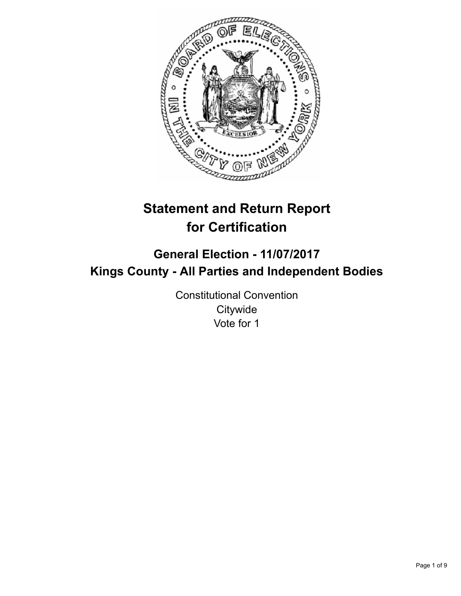

# **Statement and Return Report for Certification**

# **General Election - 11/07/2017 Kings County - All Parties and Independent Bodies**

Constitutional Convention **Citywide** Vote for 1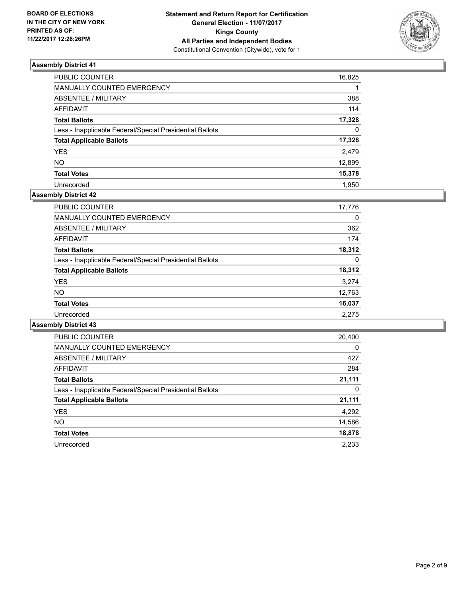

| <b>PUBLIC COUNTER</b>                                    | 16,825   |
|----------------------------------------------------------|----------|
| MANUALLY COUNTED EMERGENCY                               |          |
| <b>ABSENTEE / MILITARY</b>                               | 388      |
| <b>AFFIDAVIT</b>                                         | 114      |
| <b>Total Ballots</b>                                     | 17,328   |
| Less - Inapplicable Federal/Special Presidential Ballots | $\Omega$ |
| <b>Total Applicable Ballots</b>                          | 17,328   |
| <b>YES</b>                                               | 2,479    |
| <b>NO</b>                                                | 12,899   |
| <b>Total Votes</b>                                       | 15,378   |
| Unrecorded                                               | 1.950    |

# **Assembly District 42**

| <b>PUBLIC COUNTER</b>                                    | 17,776 |
|----------------------------------------------------------|--------|
| <b>MANUALLY COUNTED EMERGENCY</b>                        | 0      |
| ABSENTEE / MILITARY                                      | 362    |
| AFFIDAVIT                                                | 174    |
| <b>Total Ballots</b>                                     | 18,312 |
| Less - Inapplicable Federal/Special Presidential Ballots | 0      |
| <b>Total Applicable Ballots</b>                          | 18,312 |
| <b>YES</b>                                               | 3,274  |
| <b>NO</b>                                                | 12,763 |
| <b>Total Votes</b>                                       | 16,037 |
| Unrecorded                                               | 2.275  |

| <b>PUBLIC COUNTER</b>                                    | 20,400 |
|----------------------------------------------------------|--------|
| <b>MANUALLY COUNTED EMERGENCY</b>                        | 0      |
| <b>ABSENTEE / MILITARY</b>                               | 427    |
| <b>AFFIDAVIT</b>                                         | 284    |
| <b>Total Ballots</b>                                     | 21,111 |
| Less - Inapplicable Federal/Special Presidential Ballots | 0      |
| <b>Total Applicable Ballots</b>                          | 21,111 |
| <b>YES</b>                                               | 4,292  |
| <b>NO</b>                                                | 14,586 |
| <b>Total Votes</b>                                       | 18,878 |
| Unrecorded                                               | 2,233  |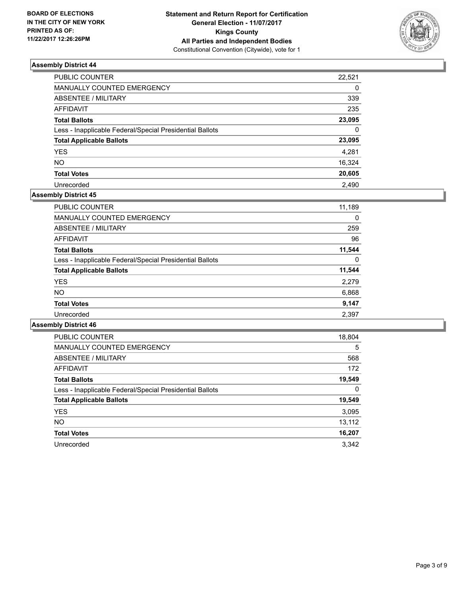

| <b>PUBLIC COUNTER</b>                                    | 22,521   |
|----------------------------------------------------------|----------|
| MANUALLY COUNTED EMERGENCY                               | $\Omega$ |
| <b>ABSENTEE / MILITARY</b>                               | 339      |
| <b>AFFIDAVIT</b>                                         | 235      |
| <b>Total Ballots</b>                                     | 23,095   |
| Less - Inapplicable Federal/Special Presidential Ballots | $\Omega$ |
| <b>Total Applicable Ballots</b>                          | 23,095   |
| <b>YES</b>                                               | 4,281    |
| <b>NO</b>                                                | 16,324   |
| <b>Total Votes</b>                                       | 20,605   |
| Unrecorded                                               | 2.490    |

# **Assembly District 45**

| <b>PUBLIC COUNTER</b>                                    | 11,189 |
|----------------------------------------------------------|--------|
| <b>MANUALLY COUNTED EMERGENCY</b>                        | 0      |
| ABSENTEE / MILITARY                                      | 259    |
| AFFIDAVIT                                                | 96     |
| <b>Total Ballots</b>                                     | 11,544 |
| Less - Inapplicable Federal/Special Presidential Ballots | 0      |
| <b>Total Applicable Ballots</b>                          | 11,544 |
| <b>YES</b>                                               | 2,279  |
| <b>NO</b>                                                | 6,868  |
| <b>Total Votes</b>                                       | 9,147  |
| Unrecorded                                               | 2,397  |

| <b>PUBLIC COUNTER</b>                                    | 18,804 |
|----------------------------------------------------------|--------|
| <b>MANUALLY COUNTED EMERGENCY</b>                        | 5      |
| <b>ABSENTEE / MILITARY</b>                               | 568    |
| <b>AFFIDAVIT</b>                                         | 172    |
| <b>Total Ballots</b>                                     | 19,549 |
| Less - Inapplicable Federal/Special Presidential Ballots | 0      |
| <b>Total Applicable Ballots</b>                          | 19,549 |
| <b>YES</b>                                               | 3,095  |
| NO.                                                      | 13,112 |
| <b>Total Votes</b>                                       | 16,207 |
| Unrecorded                                               | 3.342  |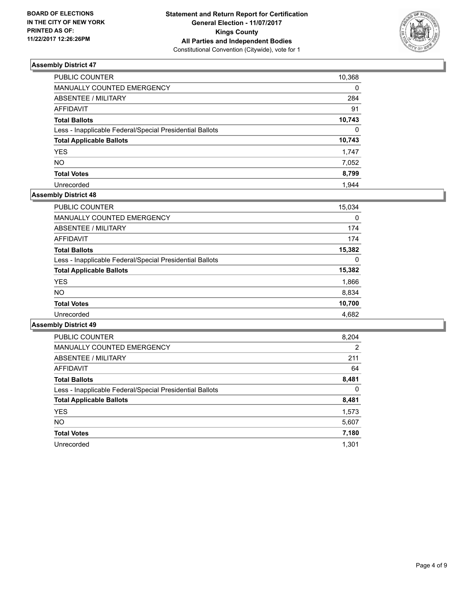

| PUBLIC COUNTER                                           | 10,368   |
|----------------------------------------------------------|----------|
| MANUALLY COUNTED EMERGENCY                               | 0        |
| ABSENTEE / MILITARY                                      | 284      |
| AFFIDAVIT                                                | 91       |
| <b>Total Ballots</b>                                     | 10,743   |
| Less - Inapplicable Federal/Special Presidential Ballots | $\Omega$ |
| <b>Total Applicable Ballots</b>                          | 10,743   |
| YES.                                                     | 1,747    |
| NO                                                       | 7,052    |
| <b>Total Votes</b>                                       | 8,799    |
| Unrecorded                                               | 1.944    |

# **Assembly District 48**

| <b>PUBLIC COUNTER</b>                                    | 15,034 |
|----------------------------------------------------------|--------|
| <b>MANUALLY COUNTED EMERGENCY</b>                        | 0      |
| ABSENTEE / MILITARY                                      | 174    |
| AFFIDAVIT                                                | 174    |
| <b>Total Ballots</b>                                     | 15,382 |
| Less - Inapplicable Federal/Special Presidential Ballots | 0      |
| <b>Total Applicable Ballots</b>                          | 15,382 |
| <b>YES</b>                                               | 1,866  |
| <b>NO</b>                                                | 8,834  |
| <b>Total Votes</b>                                       | 10,700 |
| Unrecorded                                               | 4.682  |

| <b>PUBLIC COUNTER</b>                                    | 8,204 |
|----------------------------------------------------------|-------|
| <b>MANUALLY COUNTED EMERGENCY</b>                        | 2     |
| <b>ABSENTEE / MILITARY</b>                               | 211   |
| AFFIDAVIT                                                | 64    |
| <b>Total Ballots</b>                                     | 8,481 |
| Less - Inapplicable Federal/Special Presidential Ballots | 0     |
| <b>Total Applicable Ballots</b>                          | 8,481 |
| <b>YES</b>                                               | 1,573 |
| NO.                                                      | 5,607 |
| <b>Total Votes</b>                                       | 7,180 |
| Unrecorded                                               | 1.301 |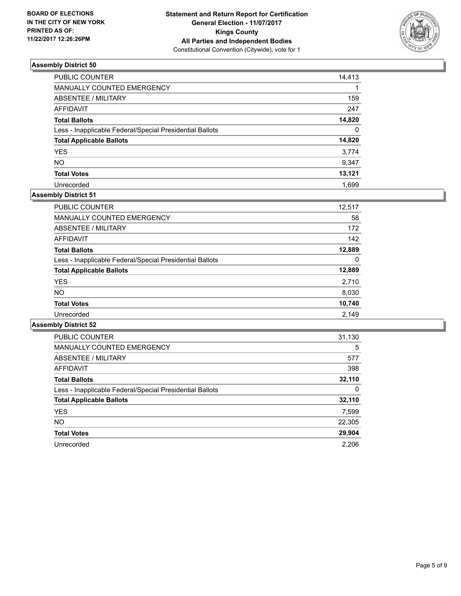

| PUBLIC COUNTER                                           | 14,413   |
|----------------------------------------------------------|----------|
| <b>MANUALLY COUNTED EMERGENCY</b>                        |          |
| <b>ABSENTEE / MILITARY</b>                               | 159      |
| <b>AFFIDAVIT</b>                                         | 247      |
| <b>Total Ballots</b>                                     | 14,820   |
| Less - Inapplicable Federal/Special Presidential Ballots | $\Omega$ |
| <b>Total Applicable Ballots</b>                          | 14,820   |
| <b>YES</b>                                               | 3,774    |
| <b>NO</b>                                                | 9,347    |
| <b>Total Votes</b>                                       | 13,121   |
| Unrecorded                                               | 1.699    |

# **Assembly District 51**

| <b>PUBLIC COUNTER</b>                                    | 12,517 |
|----------------------------------------------------------|--------|
| <b>MANUALLY COUNTED EMERGENCY</b>                        | 58     |
| ABSENTEE / MILITARY                                      | 172    |
| AFFIDAVIT                                                | 142    |
| <b>Total Ballots</b>                                     | 12,889 |
| Less - Inapplicable Federal/Special Presidential Ballots | 0      |
| <b>Total Applicable Ballots</b>                          | 12,889 |
| <b>YES</b>                                               | 2,710  |
| NO.                                                      | 8,030  |
| <b>Total Votes</b>                                       | 10,740 |
| Unrecorded                                               | 2.149  |

| <b>PUBLIC COUNTER</b>                                    | 31,130 |
|----------------------------------------------------------|--------|
| <b>MANUALLY COUNTED EMERGENCY</b>                        | 5      |
| <b>ABSENTEE / MILITARY</b>                               | 577    |
| <b>AFFIDAVIT</b>                                         | 398    |
| <b>Total Ballots</b>                                     | 32,110 |
| Less - Inapplicable Federal/Special Presidential Ballots | 0      |
| <b>Total Applicable Ballots</b>                          | 32,110 |
| <b>YES</b>                                               | 7,599  |
| <b>NO</b>                                                | 22,305 |
| <b>Total Votes</b>                                       | 29,904 |
| Unrecorded                                               | 2.206  |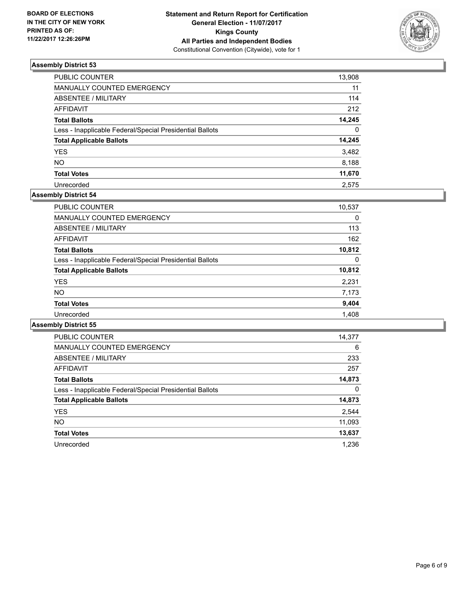

| PUBLIC COUNTER                                           | 13,908   |
|----------------------------------------------------------|----------|
| MANUALLY COUNTED EMERGENCY                               | 11       |
| <b>ABSENTEE / MILITARY</b>                               | 114      |
| <b>AFFIDAVIT</b>                                         | 212      |
| <b>Total Ballots</b>                                     | 14,245   |
| Less - Inapplicable Federal/Special Presidential Ballots | $\Omega$ |
| <b>Total Applicable Ballots</b>                          | 14,245   |
| <b>YES</b>                                               | 3,482    |
| <b>NO</b>                                                | 8,188    |
| <b>Total Votes</b>                                       | 11,670   |
| Unrecorded                                               | 2.575    |

#### **Assembly District 54**

| PUBLIC COUNTER                                           | 10,537 |
|----------------------------------------------------------|--------|
| <b>MANUALLY COUNTED EMERGENCY</b>                        | 0      |
| ABSENTEE / MILITARY                                      | 113    |
| AFFIDAVIT                                                | 162    |
| <b>Total Ballots</b>                                     | 10,812 |
| Less - Inapplicable Federal/Special Presidential Ballots | 0      |
| <b>Total Applicable Ballots</b>                          | 10,812 |
| <b>YES</b>                                               | 2,231  |
| <b>NO</b>                                                | 7,173  |
| <b>Total Votes</b>                                       | 9,404  |
| Unrecorded                                               | 1,408  |

| <b>PUBLIC COUNTER</b>                                    | 14,377 |
|----------------------------------------------------------|--------|
| <b>MANUALLY COUNTED EMERGENCY</b>                        | 6      |
| ABSENTEE / MILITARY                                      | 233    |
| AFFIDAVIT                                                | 257    |
| <b>Total Ballots</b>                                     | 14,873 |
| Less - Inapplicable Federal/Special Presidential Ballots | 0      |
| <b>Total Applicable Ballots</b>                          | 14,873 |
| <b>YES</b>                                               | 2,544  |
| NO.                                                      | 11,093 |
| <b>Total Votes</b>                                       | 13,637 |
| Unrecorded                                               | 1.236  |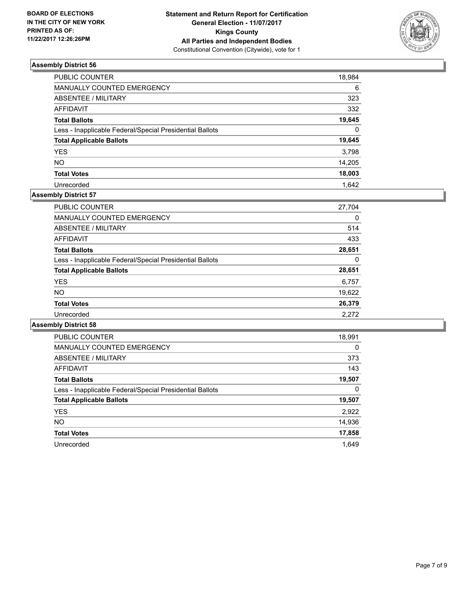

| <b>PUBLIC COUNTER</b>                                    | 18,984   |
|----------------------------------------------------------|----------|
| MANUALLY COUNTED EMERGENCY                               | 6        |
| <b>ABSENTEE / MILITARY</b>                               | 323      |
| <b>AFFIDAVIT</b>                                         | 332      |
| <b>Total Ballots</b>                                     | 19,645   |
| Less - Inapplicable Federal/Special Presidential Ballots | $\Omega$ |
| <b>Total Applicable Ballots</b>                          | 19,645   |
| <b>YES</b>                                               | 3,798    |
| <b>NO</b>                                                | 14,205   |
| <b>Total Votes</b>                                       | 18,003   |
| Unrecorded                                               | 1.642    |

# **Assembly District 57**

| <b>PUBLIC COUNTER</b>                                    | 27,704 |
|----------------------------------------------------------|--------|
| MANUALLY COUNTED EMERGENCY                               | 0      |
| ABSENTEE / MILITARY                                      | 514    |
| AFFIDAVIT                                                | 433    |
| <b>Total Ballots</b>                                     | 28,651 |
| Less - Inapplicable Federal/Special Presidential Ballots | 0      |
| <b>Total Applicable Ballots</b>                          | 28,651 |
| <b>YES</b>                                               | 6,757  |
| <b>NO</b>                                                | 19,622 |
| <b>Total Votes</b>                                       | 26,379 |
| Unrecorded                                               | 2.272  |

| <b>PUBLIC COUNTER</b>                                    | 18,991 |
|----------------------------------------------------------|--------|
| <b>MANUALLY COUNTED EMERGENCY</b>                        | 0      |
| <b>ABSENTEE / MILITARY</b>                               | 373    |
| <b>AFFIDAVIT</b>                                         | 143    |
| <b>Total Ballots</b>                                     | 19,507 |
| Less - Inapplicable Federal/Special Presidential Ballots | 0      |
| <b>Total Applicable Ballots</b>                          | 19,507 |
| <b>YES</b>                                               | 2,922  |
| NO.                                                      | 14,936 |
| <b>Total Votes</b>                                       | 17,858 |
| Unrecorded                                               | 1.649  |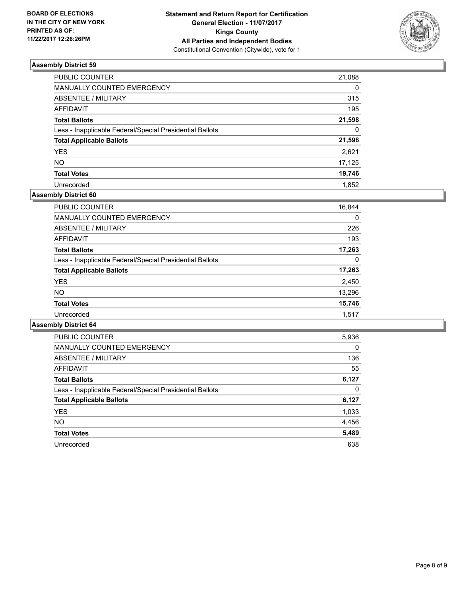

| PUBLIC COUNTER                                           | 21,088   |
|----------------------------------------------------------|----------|
| MANUALLY COUNTED EMERGENCY                               | $\Omega$ |
| <b>ABSENTEE / MILITARY</b>                               | 315      |
| <b>AFFIDAVIT</b>                                         | 195      |
| <b>Total Ballots</b>                                     | 21,598   |
| Less - Inapplicable Federal/Special Presidential Ballots | $\Omega$ |
| <b>Total Applicable Ballots</b>                          | 21,598   |
| <b>YES</b>                                               | 2,621    |
| <b>NO</b>                                                | 17,125   |
| <b>Total Votes</b>                                       | 19,746   |
| Unrecorded                                               | 1.852    |

# **Assembly District 60**

| <b>PUBLIC COUNTER</b>                                    | 16,844 |
|----------------------------------------------------------|--------|
| <b>MANUALLY COUNTED EMERGENCY</b>                        | 0      |
| ABSENTEE / MILITARY                                      | 226    |
| AFFIDAVIT                                                | 193    |
| <b>Total Ballots</b>                                     | 17,263 |
| Less - Inapplicable Federal/Special Presidential Ballots | 0      |
| <b>Total Applicable Ballots</b>                          | 17,263 |
| <b>YES</b>                                               | 2,450  |
| <b>NO</b>                                                | 13,296 |
| <b>Total Votes</b>                                       | 15,746 |
| Unrecorded                                               | 1.517  |

| <b>PUBLIC COUNTER</b>                                    | 5,936 |
|----------------------------------------------------------|-------|
| <b>MANUALLY COUNTED EMERGENCY</b>                        | 0     |
| <b>ABSENTEE / MILITARY</b>                               | 136   |
| AFFIDAVIT                                                | 55    |
| <b>Total Ballots</b>                                     | 6,127 |
| Less - Inapplicable Federal/Special Presidential Ballots | 0     |
| <b>Total Applicable Ballots</b>                          | 6,127 |
| <b>YES</b>                                               | 1,033 |
| NO.                                                      | 4,456 |
| <b>Total Votes</b>                                       | 5,489 |
| Unrecorded                                               | 638   |